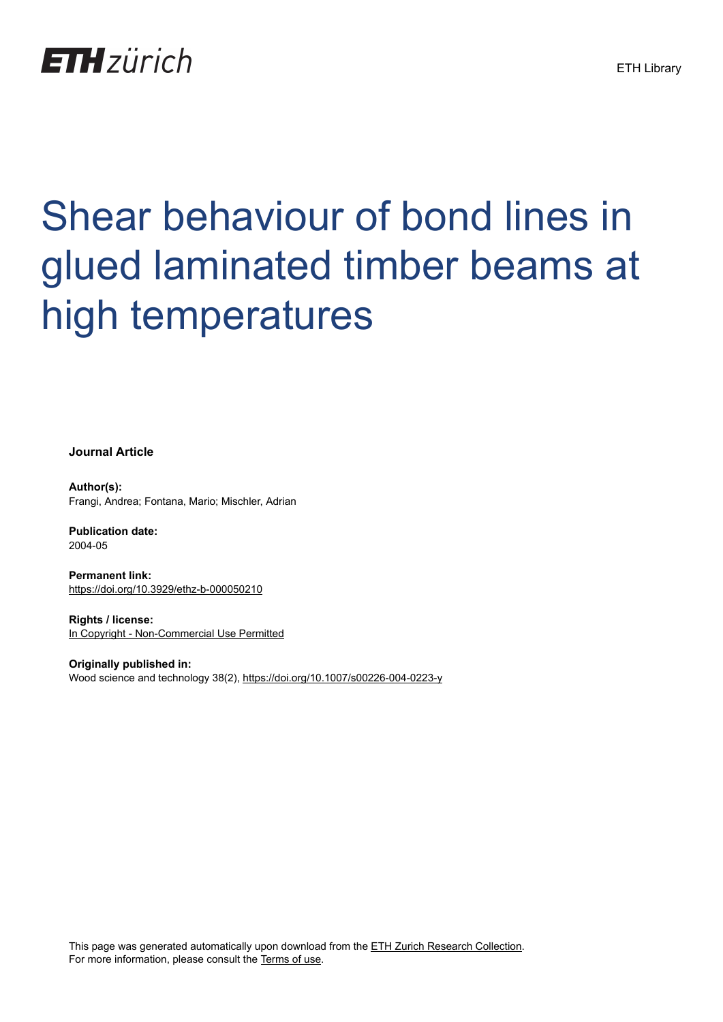

# Shear behaviour of bond lines in glued laminated timber beams at high temperatures

**Journal Article**

**Author(s):** Frangi, Andrea; Fontana, Mario; Mischler, Adrian

**Publication date:** 2004-05

**Permanent link:** <https://doi.org/10.3929/ethz-b-000050210>

**Rights / license:** [In Copyright - Non-Commercial Use Permitted](http://rightsstatements.org/page/InC-NC/1.0/)

**Originally published in:** Wood science and technology 38(2),<https://doi.org/10.1007/s00226-004-0223-y>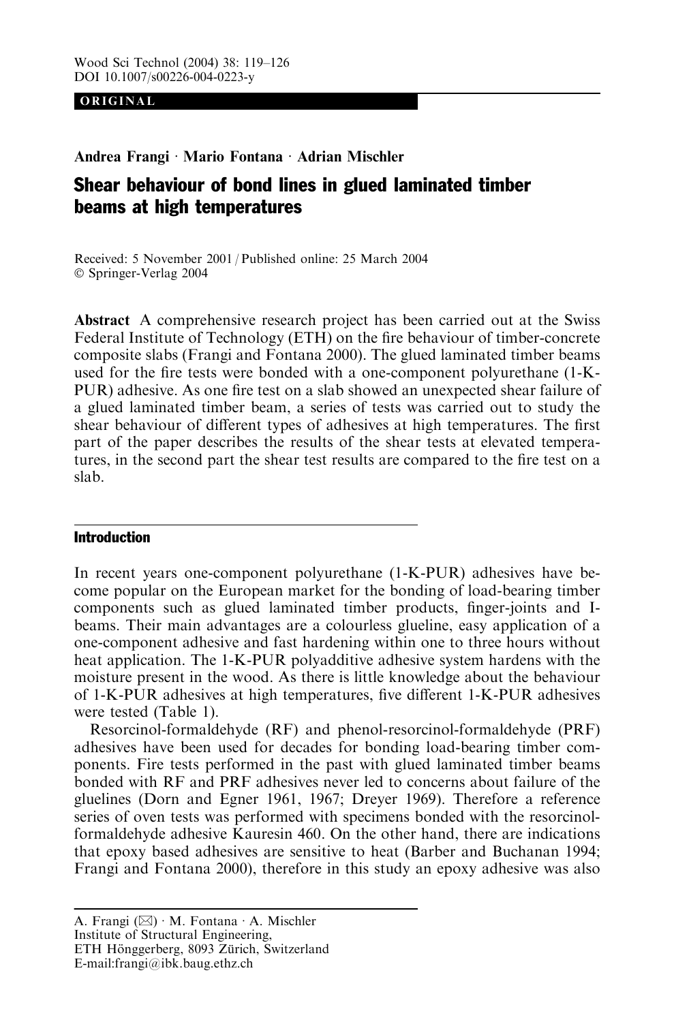ORIGINAL

Andrea Frangi · Mario Fontana · Adrian Mischler

## Shear behaviour of bond lines in glued laminated timber beams at high temperatures

Received: 5 November 2001 / Published online: 25 March 2004 Springer-Verlag 2004

Abstract A comprehensive research project has been carried out at the Swiss Federal Institute of Technology (ETH) on the fire behaviour of timber-concrete composite slabs (Frangi and Fontana 2000). The glued laminated timber beams used for the fire tests were bonded with a one-component polyurethane (1-K-PUR) adhesive. As one fire test on a slab showed an unexpected shear failure of a glued laminated timber beam, a series of tests was carried out to study the shear behaviour of different types of adhesives at high temperatures. The first part of the paper describes the results of the shear tests at elevated temperatures, in the second part the shear test results are compared to the fire test on a slab.

### Introduction

In recent years one-component polyurethane (1-K-PUR) adhesives have become popular on the European market for the bonding of load-bearing timber components such as glued laminated timber products, finger-joints and Ibeams. Their main advantages are a colourless glueline, easy application of a one-component adhesive and fast hardening within one to three hours without heat application. The 1-K-PUR polyadditive adhesive system hardens with the moisture present in the wood. As there is little knowledge about the behaviour of 1-K-PUR adhesives at high temperatures, five different 1-K-PUR adhesives were tested (Table 1).

Resorcinol-formaldehyde (RF) and phenol-resorcinol-formaldehyde (PRF) adhesives have been used for decades for bonding load-bearing timber components. Fire tests performed in the past with glued laminated timber beams bonded with RF and PRF adhesives never led to concerns about failure of the gluelines (Dorn and Egner 1961, 1967; Dreyer 1969). Therefore a reference series of oven tests was performed with specimens bonded with the resorcinolformaldehyde adhesive Kauresin 460. On the other hand, there are indications that epoxy based adhesives are sensitive to heat (Barber and Buchanan 1994; Frangi and Fontana 2000), therefore in this study an epoxy adhesive was also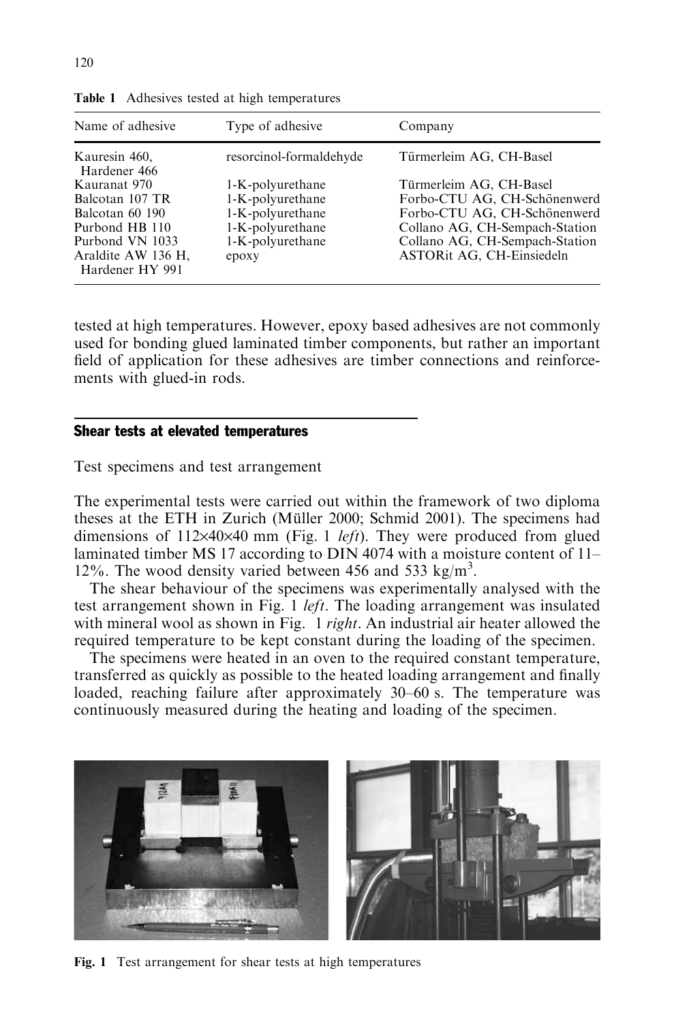| Name of adhesive                                                                                                                 | Type of adhesive                                                                                          | Company                                                                                                                                                                                  |  |  |
|----------------------------------------------------------------------------------------------------------------------------------|-----------------------------------------------------------------------------------------------------------|------------------------------------------------------------------------------------------------------------------------------------------------------------------------------------------|--|--|
| Kauresin 460,<br>Hardener 466                                                                                                    | resorcinol-formaldehyde                                                                                   | Türmerleim AG, CH-Basel                                                                                                                                                                  |  |  |
| Kauranat 970<br>Balcotan 107 TR<br>Balcotan 60 190<br>Purbond HB 110<br>Purbond VN 1033<br>Araldite AW 136 H,<br>Hardener HY 991 | 1-K-polyurethane<br>1-K-polyurethane<br>1-K-polyurethane<br>1-K-polyurethane<br>1-K-polyurethane<br>epoxy | Türmerleim AG, CH-Basel<br>Forbo-CTU AG, CH-Schönenwerd<br>Forbo-CTU AG, CH-Schönenwerd<br>Collano AG, CH-Sempach-Station<br>Collano AG, CH-Sempach-Station<br>ASTORit AG, CH-Einsiedeln |  |  |

Table 1 Adhesives tested at high temperatures

tested at high temperatures. However, epoxy based adhesives are not commonly used for bonding glued laminated timber components, but rather an important field of application for these adhesives are timber connections and reinforcements with glued-in rods.

#### Shear tests at elevated temperatures

Test specimens and test arrangement

The experimental tests were carried out within the framework of two diploma theses at the ETH in Zurich (Müller 2000; Schmid 2001). The specimens had dimensions of  $112\times40\times40$  mm (Fig. 1 *left*). They were produced from glued laminated timber MS 17 according to DIN 4074 with a moisture content of 11– 12%. The wood density varied between 456 and 533 kg/m<sup>3</sup>.

The shear behaviour of the specimens was experimentally analysed with the test arrangement shown in Fig. 1 *left*. The loading arrangement was insulated with mineral wool as shown in Fig. 1 *right*. An industrial air heater allowed the required temperature to be kept constant during the loading of the specimen.

The specimens were heated in an oven to the required constant temperature, transferred as quickly as possible to the heated loading arrangement and finally loaded, reaching failure after approximately 30–60 s. The temperature was continuously measured during the heating and loading of the specimen.



Fig. 1 Test arrangement for shear tests at high temperatures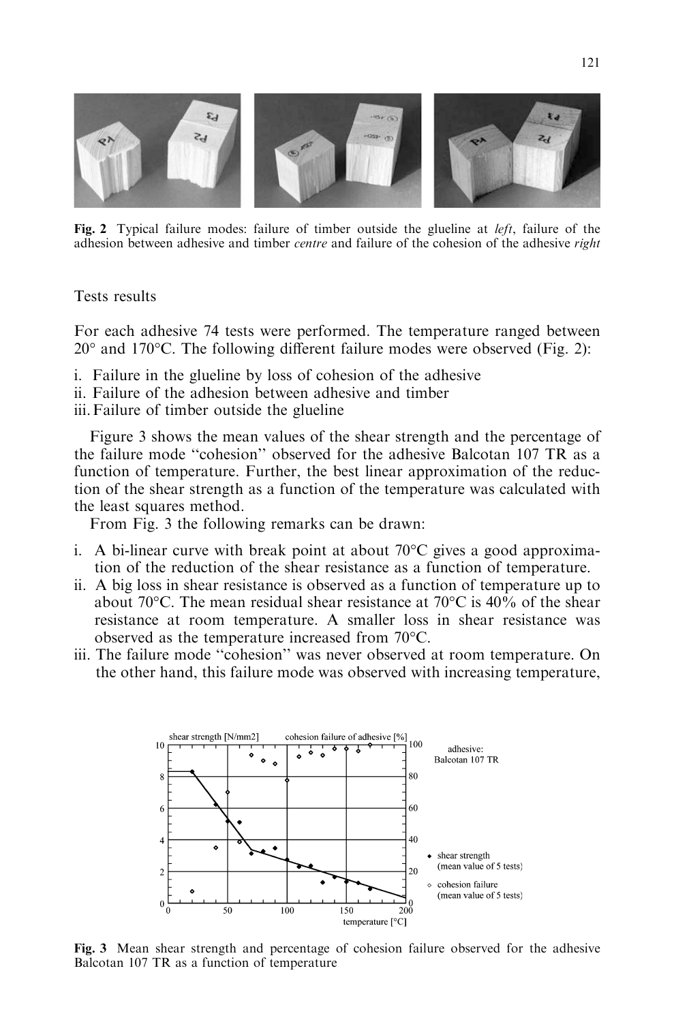

Fig. 2 Typical failure modes: failure of timber outside the glueline at  $left$ , failure of the adhesion between adhesive and timber centre and failure of the cohesion of the adhesive right

Tests results

For each adhesive 74 tests were performed. The temperature ranged between 20° and 170°C. The following different failure modes were observed (Fig. 2):

- i. Failure in the glueline by loss of cohesion of the adhesive
- ii. Failure of the adhesion between adhesive and timber
- iii.Failure of timber outside the glueline

Figure 3 shows the mean values of the shear strength and the percentage of the failure mode ''cohesion'' observed for the adhesive Balcotan 107 TR as a function of temperature. Further, the best linear approximation of the reduction of the shear strength as a function of the temperature was calculated with the least squares method.

From Fig. 3 the following remarks can be drawn:

- i. A bi-linear curve with break point at about  $70^{\circ}$ C gives a good approximation of the reduction of the shear resistance as a function of temperature.
- ii. A big loss in shear resistance is observed as a function of temperature up to about 70 $^{\circ}$ C. The mean residual shear resistance at 70 $^{\circ}$ C is 40% of the shear resistance at room temperature. A smaller loss in shear resistance was observed as the temperature increased from  $70^{\circ}$ C.
- iii. The failure mode ''cohesion'' was never observed at room temperature. On the other hand, this failure mode was observed with increasing temperature,



Fig. 3 Mean shear strength and percentage of cohesion failure observed for the adhesive Balcotan 107 TR as a function of temperature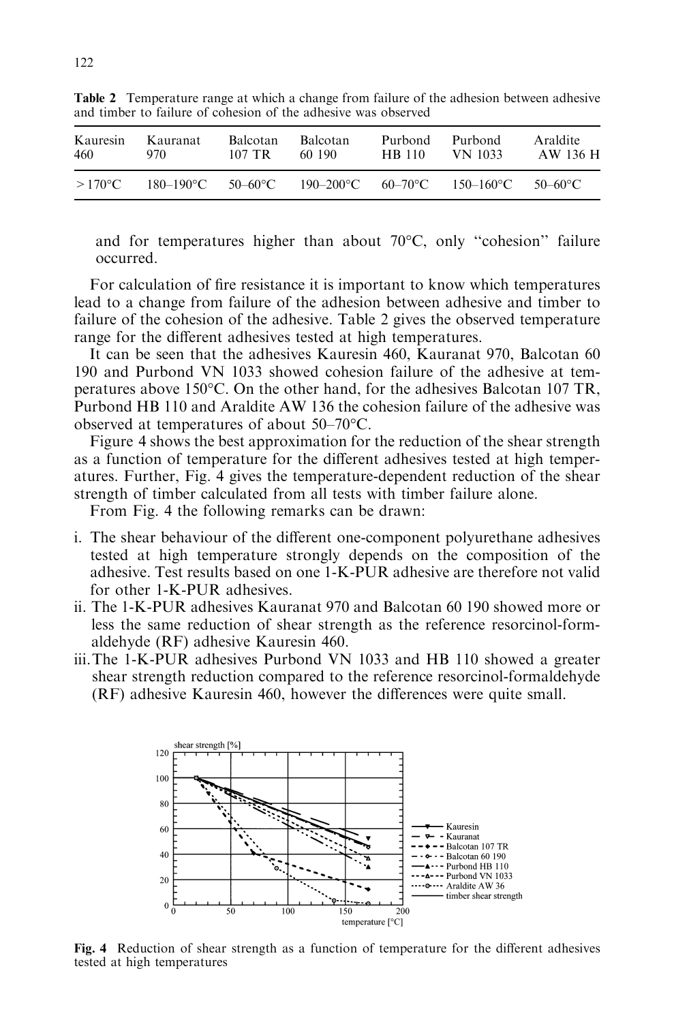| Kauresin         | Kauranat       | <b>Balcotan</b>    | <b>Balcotan</b> | Purbond | Purbond              | Araldite |
|------------------|----------------|--------------------|-----------------|---------|----------------------|----------|
| 460              | 970.           | 107 TR             | 60 190          | HB 110  | VN 1033              | AW 136 H |
| $>170^{\circ}$ C | $180 - 190$ °C | 50–60 $^{\circ}$ C | $190 - 200$ °C  |         | $60-70$ °C 150-160°C | 50–60°C  |

Table 2 Temperature range at which a change from failure of the adhesion between adhesive and timber to failure of cohesion of the adhesive was observed

and for temperatures higher than about 70°C, only "cohesion" failure occurred.

For calculation of fire resistance it is important to know which temperatures lead to a change from failure of the adhesion between adhesive and timber to failure of the cohesion of the adhesive. Table 2 gives the observed temperature range for the different adhesives tested at high temperatures.

It can be seen that the adhesives Kauresin 460, Kauranat 970, Balcotan 60 190 and Purbond VN 1033 showed cohesion failure of the adhesive at temperatures above 150°C. On the other hand, for the adhesives Balcotan 107 TR, Purbond HB 110 and Araldite AW 136 the cohesion failure of the adhesive was observed at temperatures of about  $50-70^{\circ}$ C.

Figure 4 shows the best approximation for the reduction of the shear strength as a function of temperature for the different adhesives tested at high temperatures. Further, Fig. 4 gives the temperature-dependent reduction of the shear strength of timber calculated from all tests with timber failure alone.

From Fig. 4 the following remarks can be drawn:

- i. The shear behaviour of the different one-component polyurethane adhesives tested at high temperature strongly depends on the composition of the adhesive. Test results based on one 1-K-PUR adhesive are therefore not valid for other 1-K-PUR adhesives.
- ii. The 1-K-PUR adhesives Kauranat 970 and Balcotan 60 190 showed more or less the same reduction of shear strength as the reference resorcinol-formaldehyde (RF) adhesive Kauresin 460.
- iii.The 1-K-PUR adhesives Purbond VN 1033 and HB 110 showed a greater shear strength reduction compared to the reference resorcinol-formaldehyde (RF) adhesive Kauresin 460, however the differences were quite small.



Fig. 4 Reduction of shear strength as a function of temperature for the different adhesives tested at high temperatures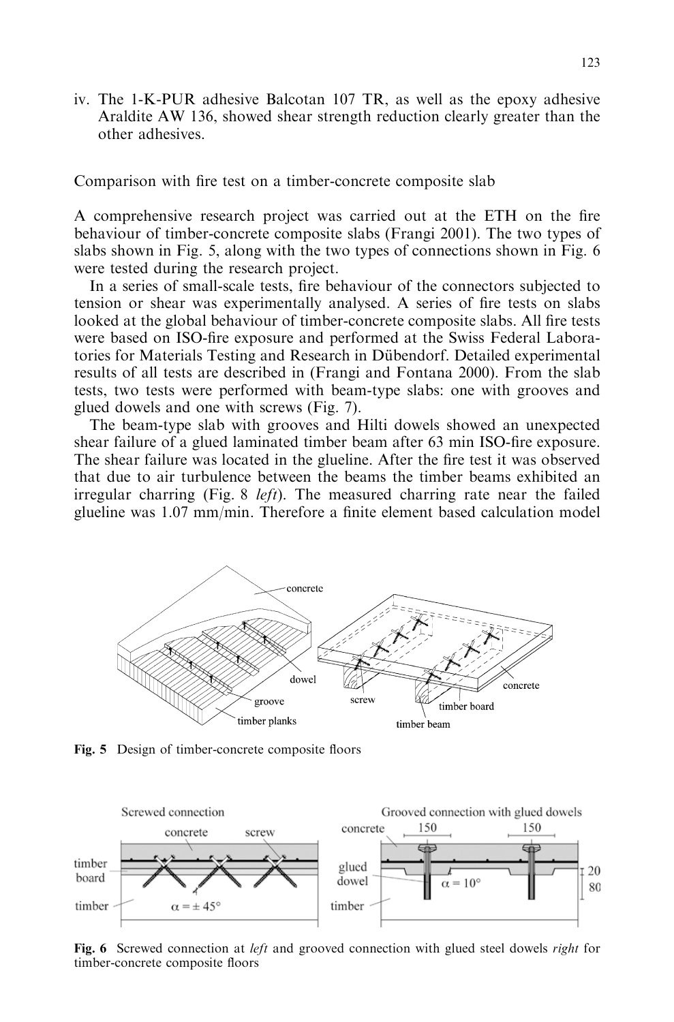iv. The 1-K-PUR adhesive Balcotan 107 TR, as well as the epoxy adhesive Araldite AW 136, showed shear strength reduction clearly greater than the other adhesives.

Comparison with fire test on a timber-concrete composite slab

A comprehensive research project was carried out at the ETH on the fire behaviour of timber-concrete composite slabs (Frangi 2001). The two types of slabs shown in Fig. 5, along with the two types of connections shown in Fig. 6 were tested during the research project.

In a series of small-scale tests, fire behaviour of the connectors subjected to tension or shear was experimentally analysed. A series of fire tests on slabs looked at the global behaviour of timber-concrete composite slabs. All fire tests were based on ISO-fire exposure and performed at the Swiss Federal Laboratories for Materials Testing and Research in Dübendorf. Detailed experimental results of all tests are described in (Frangi and Fontana 2000). From the slab tests, two tests were performed with beam-type slabs: one with grooves and glued dowels and one with screws (Fig. 7).

The beam-type slab with grooves and Hilti dowels showed an unexpected shear failure of a glued laminated timber beam after 63 min ISO-fire exposure. The shear failure was located in the glueline. After the fire test it was observed that due to air turbulence between the beams the timber beams exhibited an irregular charring (Fig. 8 *left*). The measured charring rate near the failed glueline was 1.07 mm/min. Therefore a finite element based calculation model



Fig. 5 Design of timber-concrete composite floors



Fig. 6 Screwed connection at left and grooved connection with glued steel dowels right for timber-concrete composite floors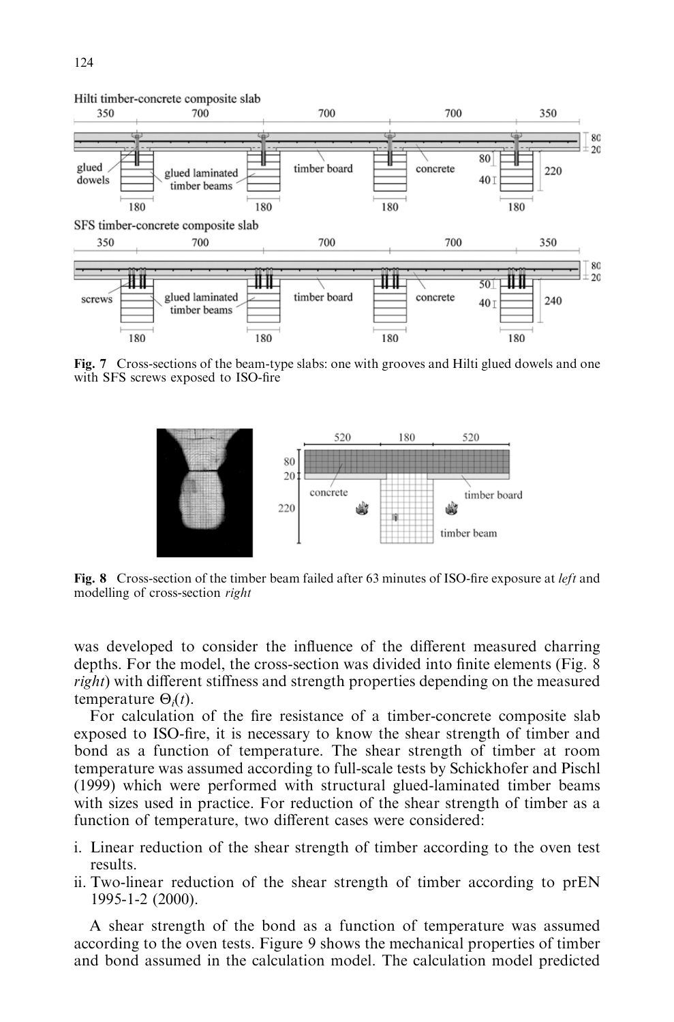

Fig. 7 Cross-sections of the beam-type slabs: one with grooves and Hilti glued dowels and one with SFS screws exposed to ISO-fire



Fig. 8 Cross-section of the timber beam failed after 63 minutes of ISO-fire exposure at *left* and modelling of cross-section right

was developed to consider the influence of the different measured charring depths. For the model, the cross-section was divided into finite elements (Fig. 8 right) with different stiffness and strength properties depending on the measured temperature  $\Theta_i(t)$ .

For calculation of the fire resistance of a timber-concrete composite slab exposed to ISO-fire, it is necessary to know the shear strength of timber and bond as a function of temperature. The shear strength of timber at room temperature was assumed according to full-scale tests by Schickhofer and Pischl (1999) which were performed with structural glued-laminated timber beams with sizes used in practice. For reduction of the shear strength of timber as a function of temperature, two different cases were considered:

- i. Linear reduction of the shear strength of timber according to the oven test results.
- ii. Two-linear reduction of the shear strength of timber according to prEN 1995-1-2 (2000).

A shear strength of the bond as a function of temperature was assumed according to the oven tests. Figure 9 shows the mechanical properties of timber and bond assumed in the calculation model. The calculation model predicted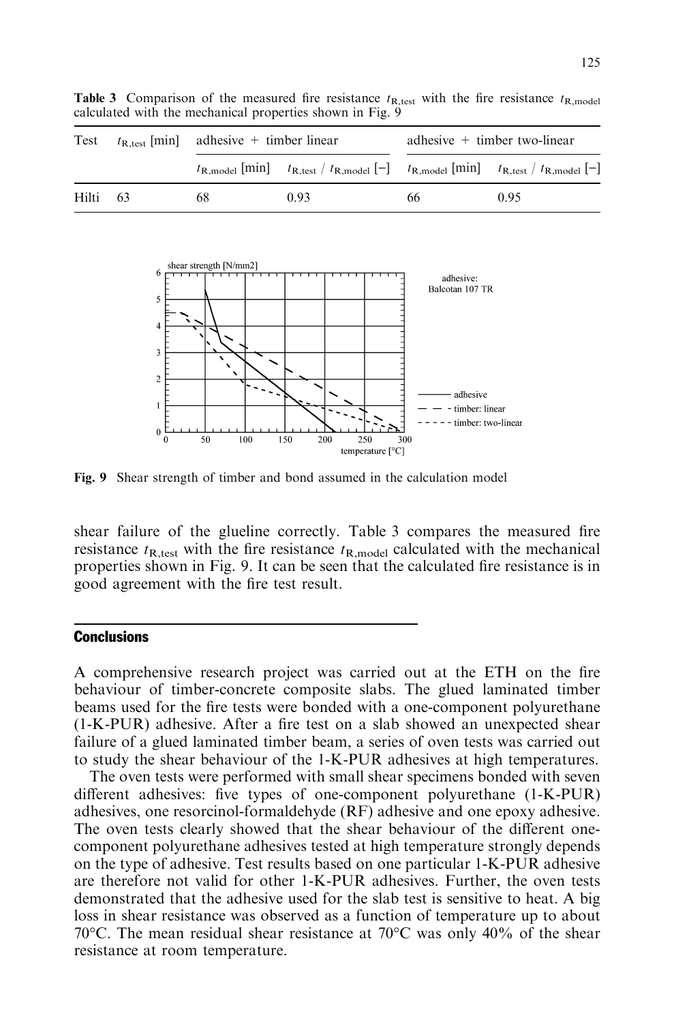

**Table 3** Comparison of the measured fire resistance  $t_{\text{R,test}}$  with the fire resistance  $t_{\text{R,model}}$ calculated with the mechanical properties shown in Fig. 9

Fig. 9 Shear strength of timber and bond assumed in the calculation model

shear failure of the glueline correctly. Table 3 compares the measured fire resistance  $t_{\text{R,test}}$  with the fire resistance  $t_{\text{R,model}}$  calculated with the mechanical properties shown in Fig. 9. It can be seen that the calculated fire resistance is in good agreement with the fire test result.

#### Conclusions

A comprehensive research project was carried out at the ETH on the fire behaviour of timber-concrete composite slabs. The glued laminated timber beams used for the fire tests were bonded with a one-component polyurethane (1-K-PUR) adhesive. After a fire test on a slab showed an unexpected shear failure of a glued laminated timber beam, a series of oven tests was carried out to study the shear behaviour of the 1-K-PUR adhesives at high temperatures.

The oven tests were performed with small shear specimens bonded with seven different adhesives: five types of one-component polyurethane (1-K-PUR) adhesives, one resorcinol-formaldehyde (RF) adhesive and one epoxy adhesive. The oven tests clearly showed that the shear behaviour of the different onecomponent polyurethane adhesives tested at high temperature strongly depends on the type of adhesive. Test results based on one particular 1-K-PUR adhesive are therefore not valid for other 1-K-PUR adhesives. Further, the oven tests demonstrated that the adhesive used for the slab test is sensitive to heat. A big loss in shear resistance was observed as a function of temperature up to about 70 $\degree$ C. The mean residual shear resistance at 70 $\degree$ C was only 40% of the shear resistance at room temperature.